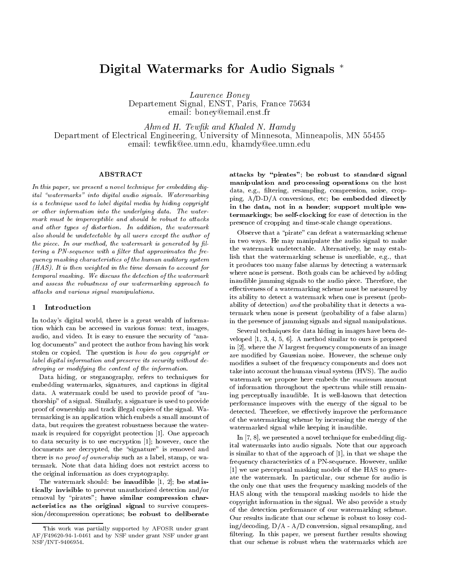# Digital Watermarks for Audio Signals

Laurence Boney Departement Signal, Enot, Faris, France Toost example of the state of the state of the state of the state of the state of the state of the state of the state of the state of the state of the state of the state of the state of the state of the state of the state of the

and the Hotel And Khaled N Hamdels and Khaled N Hamdels (1986). The Management of the Management of the Management of the Management of the Management of the Management of the Management of the Management of the Management Department of Electrical Engineering University of Minnesota Minneapolis MN email tewards the computation of the computation of the computation of the computation of the computation of the computation of the computation of the computation of the computation of the computation of the computation of

### ABSTRACT

In this paper, we present a novel technique for embedding digital "watermarks" into digital audio signals. Watermarking is a technique used to label digital media by hiding copyright or other information into the underlying data The watermark must be imperceptible and should be robust to attacks and other types of distortion. In addition, the watermark also should be undetectable by all users except the author of the piece. In our method, the watermark is generated by filtering a PN-sequence with a lter that approximates the frequency masking characteristics of the human auditory system  $(HAS)$ . It is then weighted in the time domain to account for temporal masking. We discuss the detection of the watermark and assess the robustness of our watermarking approach to attacks and various signal manipulations

#### Introduction

In todays digital world- there is a great wealth of informa tion which can be accessed in various forms text- imagesaudio-independent of the security of and the security of and security of an analysis of an analysis of an analysis log documents" and protect the author from having his work stolen or copied. The question is how do you copyright or label digital information and preserve its security without destroying or modifying the content of the information

a ste and the steps to the step to the step to the step of the step of the step of the step of the step of the embedding watermarks-agmentially captions in diplomatic model in digital data. A watermark could be used to provide proof of "authorship of a signal Similarly-, a signal as a signature is provided to the signal of the signal of  $\mu$ proof of ownership and track illegal copies of the signal Wa termarking is an application which embeds a small amount of data-but requires the greatest robustness because the greatest robustness because the water robustness because mark is required for copyright protection  $\mathbb{R}^n$  . The copyright protection  $\mathbb{R}^n$  and  $\mathbb{R}^n$  approach is required for a positive protection  $\mathbb{R}^n$  and  $\mathbb{R}^n$  and  $\mathbb{R}^n$  and  $\mathbb{R}^n$  and  $\mathbb{R}^n$ to data security is to use encryption of the concerning  $\mathcal{A}$  . If the concerning  $\mathcal{A}$  is the concerning of the concerning  $\mathcal{A}$ documents are decrypted-under the signature is removed and the signature is removed and the signature is remov there is no proof of ownership such as an alternative proceeding the state. termark Note that data hiding does not restrict access to the original information as does cryptography

The watermark should be inaudible -  be statis tically invisible to prevent unauthorized detection and
or removal by "pirates"; have similar compression characteristics as the original signal to survive compres sion/decompression operations; be robust to deliberate

attacks by -pirates by -pirates by -pirates by -pirates by -pirates by -pirates by -pirates by -pirates by -pi manipulation and processing operations on the host data- eg- ltering- resampling- compression- noise- crop ping- A
DD
A conversions- etc be embedded directly in the data, not in a header; support multiple watermarkings; be self-clocking for ease of detection in the presence of cropping and time-scale change operations.

Observe that a "pirate" can defeat a watermarking scheme in two ways He may manipulate the audio signal to make the watermark undetectable and the matrix  $\mathcal{L}_{\mathcal{A}}$ lish that the watermarking scheme is unreliable- eg- that it produces too many false alarms by detecting a watermark where none is present. Both goals can be achieved by adding inaudible jamming signals to the audio piece Therefore- the effectiveness of a watermarking scheme must be measured by its ability to detect a watermark when one is present (probability of detection) and the probability that it detects a watermark when none is present (probability of a false alarm) in the presence of jamming signals and signal manipulations

Several techniques for data hiding in images have been de ver proposed in the similar to our section and similar to our similar proposed in the similar order of the similar order of the similar order of the similar order of the similar order of the similar order of the similar or in  - where the <sup>N</sup> largest frequency components of an image are modification of Gaussian noise However-Communication in the scheme only and the scheme only and the scheme modifies a subset of the frequency components and does not take into account the human visual system (HVS). The audio watermark we propose here embeds the *maximum* amount of information throughout the spectrum while still remain ing perceptually inaudible. It is well-known that detection performance improves with the energy of the signal to be detected Therefore- we eectively improve the performance of the watermarking scheme by increasing the energy of the watermarked signal while keeping it inaudible

In - - we presented a novel technique for embedding dig ital watermarks into audio signals Note that our approach is similar to that of the approach of  $|z|$  and the approximate the shape  $\mu$  shape the shape the shape the shape the shape the shape the shape through  $\mu$ frequency characteristics of a PNsequence However- unlike we use the HAS to generate models of the HAS to generate models of the HAS to generate  $\mathbf{H}$ ate the watermark In particular- the watermark In audio is an audio is the only one that uses the frequency masking models of the HAS along with the temporal masking models to hide the copyright information in the signal We also provide a study of the detection performance of our watermarking scheme Our results indicate that our scheme is robust to lossy cod  $\alpha$  and  $\alpha$  in and  $\alpha$  is and  $\alpha$  is and  $\alpha$  -conversion-from  $\alpha$  and  $\alpha$  is and  $\alpha$ ltering In this paper- we present further results showing that our scheme is robust when the watermarks which are

This work was partially supported by AFOSR under grant AFF--- and by NSF under grant NSF under grant nsfint-beam and the state of the state of the state of the state of the state of the state of the state of the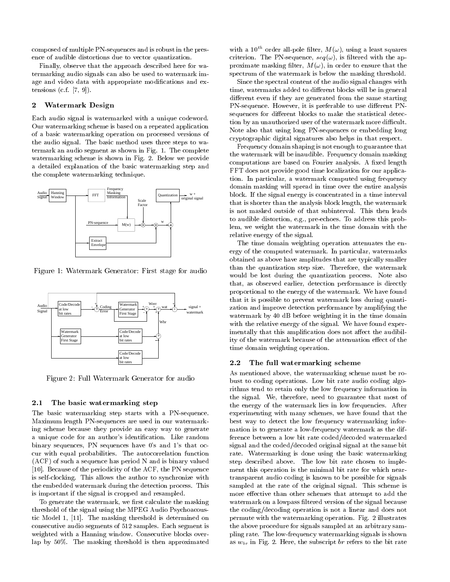composed of multiple PN-sequences and is robust in the presence of audible distortions due to vector quantization

Finally- observe that the approach described here for wa termarking audio signals can also be used to watermark im age and video data with appropriate modifications and extensions cf -

#### $\bf{2}$ Watermark Design

Each audio signal is watermarked with a unique codeword Our watermarking scheme is based on a repeated application of a basic watermarking operation on processed versions of the audio signal. The basic method uses three steps to watermark an audio segment as shown in Fig. 1. The complete watermarking scheme is shown in Fig. 2. Below we provide a detailed explanation of the basic watermarking step and the complete watermarking technique



Figure - Watermark Generator- First stage for audio



Figure - Full Watermark Generator for audio

#### 2.1 The basic watermarking step

The basic watermarking step starts with a PN-sequence. Maximum length PN-sequences are used in our watermarking scheme because they provide an easy way to generate a unique code for an author's identification. Like random binary sequences in a sequence man a volume s and and  $\sim$ cur with equal probabilities The autocorrelation function  $(ACF)$  of such a sequence has period N and is binary valued Because of the periodicity of the ACF- the PN sequence is self-clocking. This allows the author to synchronize with the embedded watermark during the detection process This is important if the signal is cropped and resampled

To generate the watermark- we rst calculate the masking threshold of the signal using the MPEG Audio Psychoacous tic model is a masking threshold is determined on the masking  $\mu$  . consecutive audio segments of 512 samples. Each segment is weighted with a Hanning window. Consecutive blocks overlap by 50%. The masking threshold is then approximated

with a 10 order all-pole filter,  $M(\omega)$ , using a least squares criterion The Phase Phase Phase Phase (1999), the approximation of the approximation of the approximation of the approximation of the approximation of the approximation of the approximation of the approximation of the appr proximate masking masking and the property of the theoretic that the theoretic that the theoretic that the the spectrum of the watermark is below the masking threshold

Since the spectral content of the audio signal changes with time- watermarks added to dierent blocks will be in general different even if they are generated from the same starting PNsequence However- it is preferable to use dierent PN sequences for different blocks to make the statistical detection by an unauthorized user of the watermark more difficult. Note also that using long PN-sequences or embedding long cryptographic digital signatures also helps in that respect

Frequency domain shaping is not enough to guarantee that the watermark will be inaudible. Frequency domain masking computations are based on Fourier analysis. A fixed length FFT does not provide good time localization for our applica tion In particular- a watermark computed using frequency domain masking will spread in time over the entire analysis block If the signal energy is concentrated in a time interval that is shorter than the analysis block length- the watermark is not masked outside of that subinterval. This then leads to auditorial distortion-language blev this problems that the problems are problems that the problems of the c lem- we weight the watermark in the time domain with the relative energy of the signal

The time domain weighting operation attenuates the en ergy of the computed watermark In particular- watermarks obtained as above have amplitudes that are typically smaller than the quantization step size Therefore- the watermark would be lost during the quantization process Note also that the contract of the second performance is directly as  $\alpha$ proportional to the energy of the watermark. We have found that it is possible to prevent watermark loss during quanti zation and improve detection performance by amplifying the watermark by 40 dB before weighting it in the time domain with the relative energy of the signal. We have found experimentally that this amplification does not affect the audibility of the watermark because of the attenuation effect of the time domain weighting operation

### The full watermarking scheme

As mentioned above- the watermarking scheme must be ro bust to coding operations Low bit rate audio coding algo rithms tend to retain only the low frequency information in the signal We- therefore- need to guarantee that most of the energy of the watermark lies in low frequencies After experimenting with many statements we have found that the t best way to detect the low frequency watermarking infor mation is to generate a low-frequency watermark as the difference between a low bit rate coded
decoded watermarked signal and the coded
decoded original signal at the same bit rate. Watermarking is done using the basic watermarking step described above. The low bit rate chosen to implement this operation is the minimal bit rate for which near transparent audio coding is known to be possible for signals sampled at the rate of the original signal. This scheme is more effective than other schemes that attempt to add the watermark on a lowpass filtered version of the signal because the coding
decoding operation is not a linear and does not permute with the watermarking operation. Fig. 2 illustrates the above procedure for signals sampled at an arbitrary sam pling rate. The low-frequency watermarking signals is shown as a  $\mu$  is the subscript bar referred to the bit referred to the bit rate  $\mu$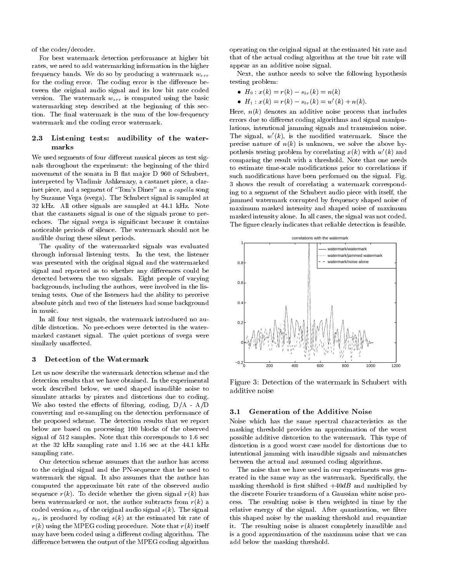of the coder
decoder

For best watermark detection performance at higher bit rates- we need to add watermarking information in the higher frequency bands. We do so by producing a watermark  $w_{err}$ for the coding error. The coding error is the difference between the original audio signal and its low bit rate coded version. The watermark  $w_{err}$  is computed using the basic watermarking step described at the beginning of this sec tion. The final watermark is the sum of the low-frequency watermark and the coding error watermark

#### Listening tests: audibility of the water-2.3 marks

We used segments of four different musical pieces as test signals throughout the experiment: the beginning of the third movement of the sonata in B flat major  $D$  960 of Schubert, interpreted by Vladimir Ashkenazy-Ashkenazy-Ashkenazy-Ashkenazy-Ashkenazy-Ashkenazy-Ashkenazy-Ashkenazy-Ashken inet piece- and a segment of Toms Diner an a capel la song by Suzanne Vega (svega). The Schubert signal is sampled at 32 kHz. All other signals are sampled at 44.1 kHz. Note that the castanets signal is one of the signals prone to pre echoes. The signal svega is significant because it contains noticeable periods of silence. The watermark should not be audible during these silent periods

The quality of the watermarked signals was evaluated through informal listening tests In the test- the listener was presented with the original signal and the watermarked signal and reported as to whether any differences could be detected between the two signals Eight people of varying backgrounds-backgrounds-backgrounds-backgrounds-backgrounds-backgrounds-background-background-background-backg tening tests One of the listeners had the ability to perceive absolute pitch and two of the listeners had some background in music

In all four test signals- the watermark introduced no au dible distortion. No pre-echoes were detected in the watermarked castanet signal. The quiet portions of svega were similarly unaffected.

## Detection of the Watermark

Let us now describe the watermark detection scheme and the detection results that we have obtained. In the experimental work described below-to the shaped shaped in the shaped in the shaped in the shaped in the shaped in the shaped of  $\eta$ simulate attacks by pirates and distortions due to coding We also tested the eects of ltering- coding- D
A A
D converting and resampling on the detection performance of the proposed scheme. The detection results that we report below are based on processing 100 blocks of the observed signal of  $512$  samples. Note that this corresponds to  $1.6$  sec at the 32 kHz sampling rate and  $1.16$  sec at the  $44.1$  kHz sampling rate

Our detection scheme assumes that the author has access to the original signal and the PN-sequence that he used to watermark the signal. It also assumes that the author has computed the approximate bit rate of the observed audio sequence  $r(k)$ . To decide whether the given signal  $r(k)$  has been watermarked or not-the author subtracts from results from results from results from results from results f coded version  $s_{br}$  of the original audio signal  $s(k)$ . The signal  $s_{br}$  is produced by coding  $s(k)$  at the estimated bit rate of  $r(k)$  using the MPEG coding procedure. Note that  $r(k)$  itself may have been coded using a different coding algorithm. The difference between the output of the MPEG coding algorithm

operating on the original signal at the estimated bit rate and that of the actual coding algorithm at the true bit rate will appear as an additive noise signal

Next- the author needs to solve the following hypothesis testing problem

- $\mathcal{L} = \{x \in \mathcal{L} \mid x \in \mathcal{L} \mid x \in \mathcal{L} \mid x \in \mathcal{L} \mid x \in \mathcal{L} \mid x \in \mathcal{L} \mid x \in \mathcal{L} \mid x \in \mathcal{L} \mid x \in \mathcal{L} \mid x \in \mathcal{L} \mid x \in \mathcal{L} \mid x \in \mathcal{L} \mid x \in \mathcal{L} \mid x \in \mathcal{L} \mid x \in \mathcal{L} \mid x \in \mathcal{L} \mid x \in \mathcal{L} \mid x \in \mathcal{L} \mid x \in \mathcal{L} \mid x \$
- $H_1: x(k) = r(k) s_{br}(k) = w(k) + n(k).$

Here- nk denotes an additive noise process that includes errors due to different coding algorithms and signal manipulations- intentional jamming signals and transmission noise The signal,  $w(k)$ , is the modified watermark. Since the precise nature of new solve the above hypersections and the above hypersection of the above hypersection above h pothesis testing problem by correlating  $x(k)$  with  $w(k)$  and comparing the result with a threshold. Note that one needs to estimate time-scale modifications prior to correlations if such modifications have been performed on the signal. Fig. shows the result of correlating a watermark correspond ing to a segment of the Schubert audio piece with itself- the jammed watermark corrupted by frequency shaped noise of maximum masked intensity and shaped noise of maximum masked intensity alone In all cases- the signal was not coded The figure clearly indicates that reliable detection is feasible.



Figure - Detection of the watermark in Schubert with additive noise

#### Generation of the Additive Noise 3.1

Noise which has the same spectral characteristics as the masking threshold provides an approximation of the worst possible additive distortion to the watermark This type of distortion is a good worst case model for distortions due to intentional jamming with inaudible signals and mismatches between the actual and assumed coding algorithms

The noise that we have used in our experiments was gen erated in the same way as the watermark Species Species, where we masking threshold is first shifted  $+40dB$  and multiplied by the discrete Fourier transform of a Gaussian white noise pro cess The resulting noise is then weighted in time by the relative energy of the signal After a signal After quantization-  $\mathbf{H}_{\text{max}}$  and  $\mathbf{H}_{\text{max}}$  and  $\mathbf{H}_{\text{max}}$ this shaped noise by the masking threshold and requantize it. The resulting noise is almost completely inaudible and is a good approximation of the maximum noise that we can add below the masking threshold